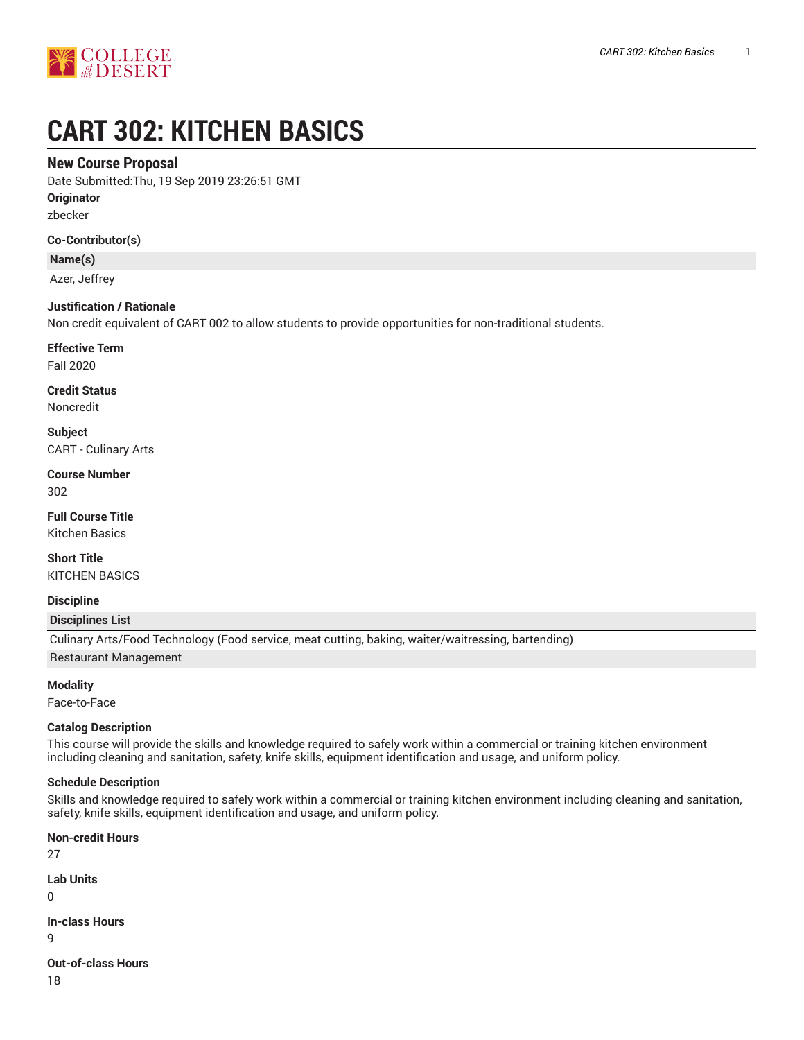

# **CART 302: KITCHEN BASICS**

## **New Course Proposal**

Date Submitted:Thu, 19 Sep 2019 23:26:51 GMT

**Originator**

zbecker

#### **Co-Contributor(s)**

**Name(s)**

Azer, Jeffrey

#### **Justification / Rationale**

Non credit equivalent of CART 002 to allow students to provide opportunities for non-traditional students.

#### **Effective Term**

Fall 2020

# **Credit Status**

Noncredit

**Subject** CART - Culinary Arts

#### **Course Number** 302

**Full Course Title** Kitchen Basics

**Short Title** KITCHEN BASICS

# **Discipline**

#### **Disciplines List**

Culinary Arts/Food Technology (Food service, meat cutting, baking, waiter/waitressing, bartending)

Restaurant Management

**Modality**

Face-to-Face

#### **Catalog Description**

This course will provide the skills and knowledge required to safely work within a commercial or training kitchen environment including cleaning and sanitation, safety, knife skills, equipment identification and usage, and uniform policy.

#### **Schedule Description**

Skills and knowledge required to safely work within a commercial or training kitchen environment including cleaning and sanitation, safety, knife skills, equipment identification and usage, and uniform policy.

#### **Non-credit Hours**

27

**Lab Units**

0

**In-class Hours**

9

**Out-of-class Hours**

18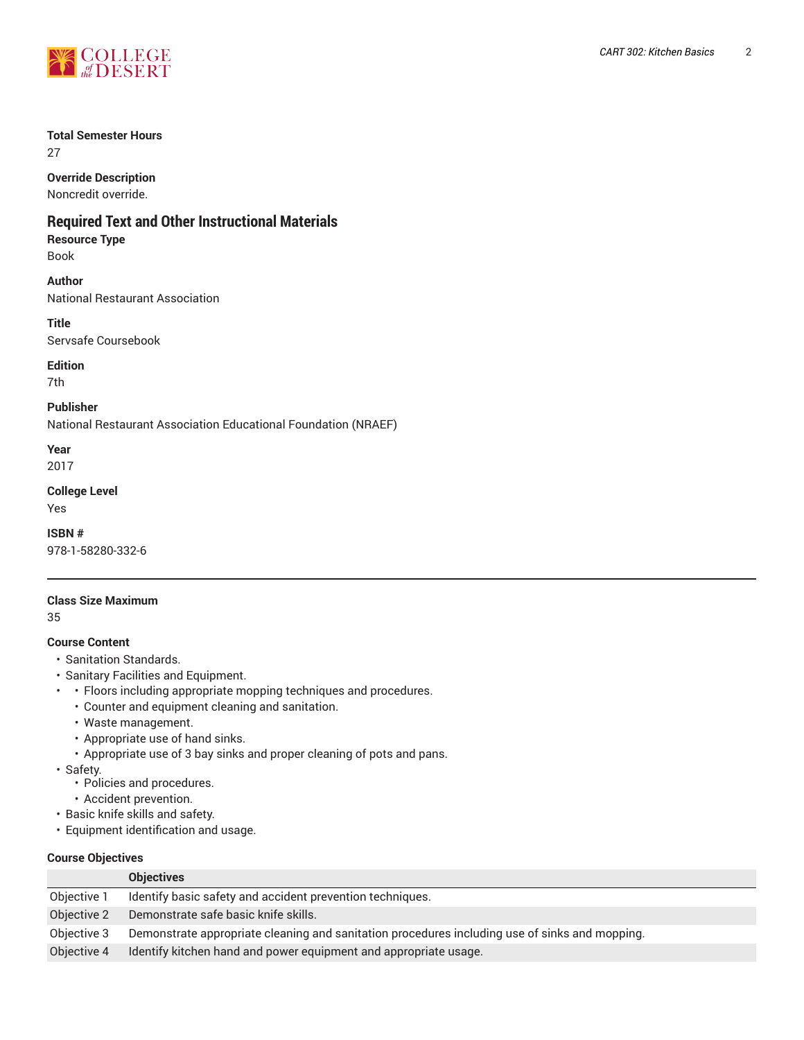

#### **Total Semester Hours**

27

## **Override Description**

Noncredit override.

## **Required Text and Other Instructional Materials**

**Resource Type** Book

**Author** National Restaurant Association

**Title** Servsafe Coursebook

**Edition** 7th

**Publisher** National Restaurant Association Educational Foundation (NRAEF)

**Year** 2017

#### **College Level**

Yes

**ISBN #** 978-1-58280-332-6

#### **Class Size Maximum**

35

#### **Course Content**

- Sanitation Standards.
- Sanitary Facilities and Equipment.
- • Floors including appropriate mopping techniques and procedures.
	- Counter and equipment cleaning and sanitation.
	- Waste management.
	- Appropriate use of hand sinks.
	- Appropriate use of 3 bay sinks and proper cleaning of pots and pans.
- Safety.
	- Policies and procedures.
	- Accident prevention.
- Basic knife skills and safety.
- Equipment identification and usage.

#### **Course Objectives**

|             | <b>Objectives</b>                                                                              |
|-------------|------------------------------------------------------------------------------------------------|
| Objective 1 | Identify basic safety and accident prevention techniques.                                      |
| Objective 2 | Demonstrate safe basic knife skills.                                                           |
| Objective 3 | Demonstrate appropriate cleaning and sanitation procedures including use of sinks and mopping. |
| Objective 4 | Identify kitchen hand and power equipment and appropriate usage.                               |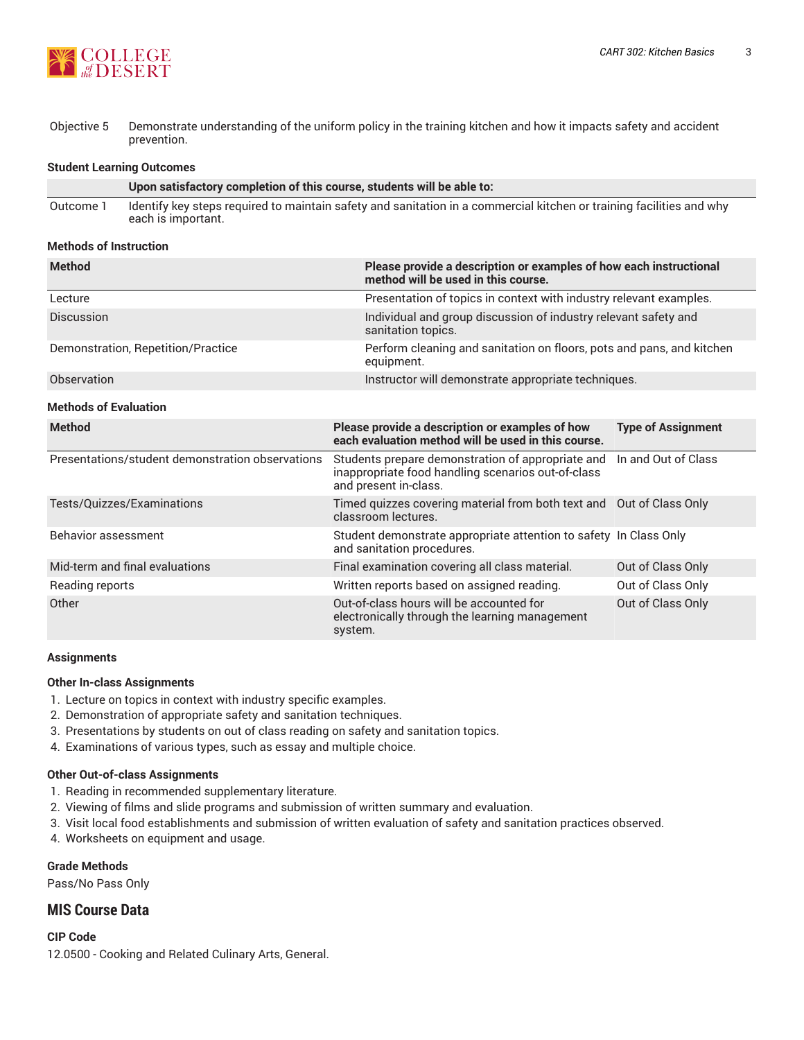

Objective 5 Demonstrate understanding of the uniform policy in the training kitchen and how it impacts safety and accident prevention.

#### **Student Learning Outcomes**

|           | Upon satisfactory completion of this course, students will be able to:                                                                     |
|-----------|--------------------------------------------------------------------------------------------------------------------------------------------|
| Outcome 1 | Identify key steps required to maintain safety and sanitation in a commercial kitchen or training facilities and why<br>each is important. |

#### **Methods of Instruction**

| <b>Method</b>                                    | Please provide a description or examples of how each instructional<br>method will be used in this course.                        |                           |  |  |  |
|--------------------------------------------------|----------------------------------------------------------------------------------------------------------------------------------|---------------------------|--|--|--|
| Lecture                                          | Presentation of topics in context with industry relevant examples.                                                               |                           |  |  |  |
| Discussion                                       | Individual and group discussion of industry relevant safety and<br>sanitation topics.                                            |                           |  |  |  |
| Demonstration, Repetition/Practice               | Perform cleaning and sanitation on floors, pots and pans, and kitchen<br>equipment.                                              |                           |  |  |  |
| Observation                                      | Instructor will demonstrate appropriate techniques.                                                                              |                           |  |  |  |
| <b>Methods of Evaluation</b>                     |                                                                                                                                  |                           |  |  |  |
| <b>Method</b>                                    | Please provide a description or examples of how<br>each evaluation method will be used in this course.                           | <b>Type of Assignment</b> |  |  |  |
| Presentations/student demonstration observations | Students prepare demonstration of appropriate and<br>inappropriate food handling scenarios out-of-class<br>and present in-class. | In and Out of Class       |  |  |  |
| Tests/Quizzes/Examinations                       | Timed quizzes covering material from both text and Out of Class Only<br>classroom lectures.                                      |                           |  |  |  |
| Behavior assessment                              | Student demonstrate appropriate attention to safety In Class Only<br>and sanitation procedures.                                  |                           |  |  |  |
| Mid-term and final evaluations                   | Final examination covering all class material.                                                                                   | Out of Class Only         |  |  |  |
| Reading reports                                  | Written reports based on assigned reading.                                                                                       | Out of Class Only         |  |  |  |
| Other                                            | Out-of-class hours will be accounted for<br>electronically through the learning management<br>system.                            | Out of Class Only         |  |  |  |

#### **Assignments**

#### **Other In-class Assignments**

- 1. Lecture on topics in context with industry specific examples.
- 2. Demonstration of appropriate safety and sanitation techniques.
- 3. Presentations by students on out of class reading on safety and sanitation topics.
- 4. Examinations of various types, such as essay and multiple choice.

#### **Other Out-of-class Assignments**

- 1. Reading in recommended supplementary literature.
- 2. Viewing of films and slide programs and submission of written summary and evaluation.
- 3. Visit local food establishments and submission of written evaluation of safety and sanitation practices observed.
- 4. Worksheets on equipment and usage.

#### **Grade Methods**

Pass/No Pass Only

## **MIS Course Data**

**CIP Code** 12.0500 - Cooking and Related Culinary Arts, General.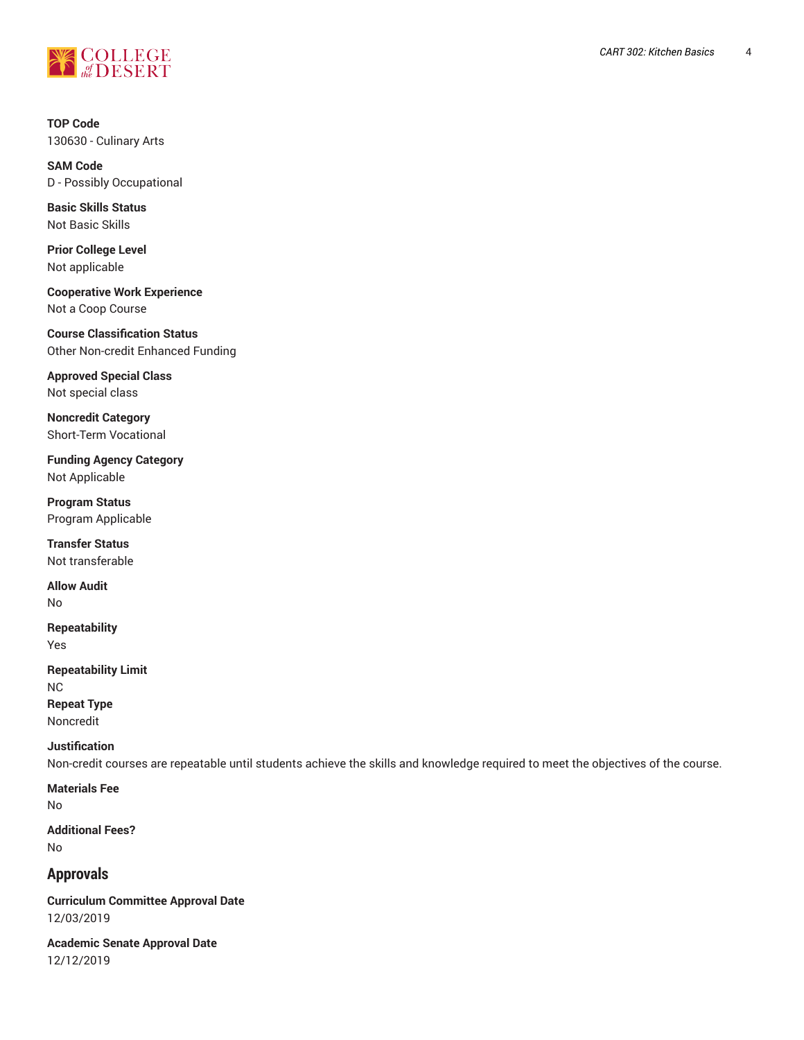

**TOP Code** 130630 - Culinary Arts

**SAM Code** D - Possibly Occupational

**Basic Skills Status** Not Basic Skills

**Prior College Level** Not applicable

**Cooperative Work Experience** Not a Coop Course

**Course Classification Status** Other Non-credit Enhanced Funding

**Approved Special Class** Not special class

**Noncredit Category** Short-Term Vocational

**Funding Agency Category** Not Applicable

**Program Status** Program Applicable

**Transfer Status** Not transferable

**Allow Audit** No

**Repeatability** Yes

**Repeatability Limit** NC **Repeat Type** Noncredit

# **Justification**

Non-credit courses are repeatable until students achieve the skills and knowledge required to meet the objectives of the course.

**Materials Fee** No

**Additional Fees?** No

# **Approvals**

**Curriculum Committee Approval Date** 12/03/2019

**Academic Senate Approval Date** 12/12/2019